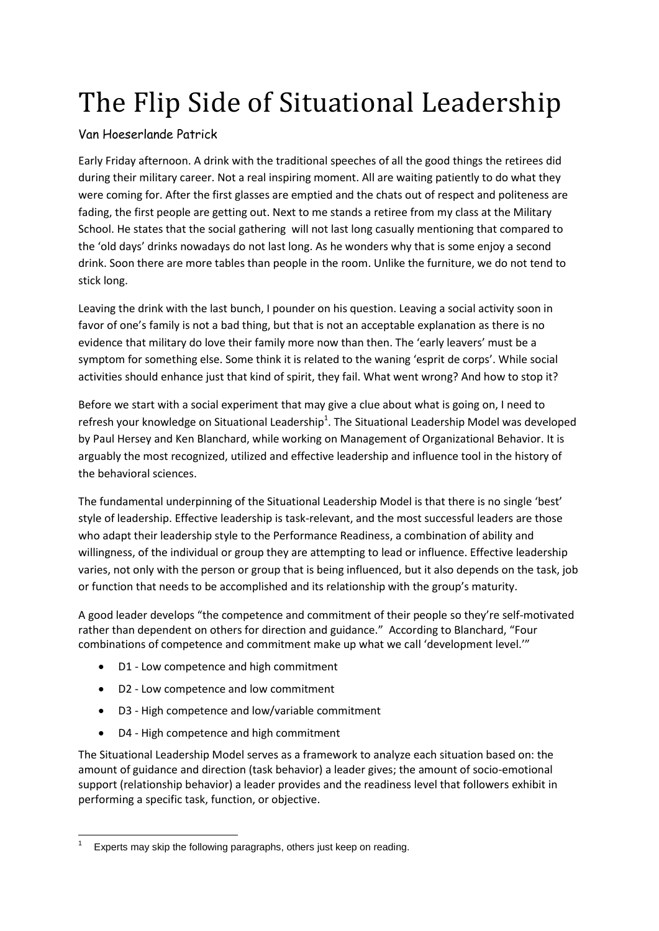## The Flip Side of Situational Leadership

## Van Hoeserlande Patrick

Early Friday afternoon. A drink with the traditional speeches of all the good things the retirees did during their military career. Not a real inspiring moment. All are waiting patiently to do what they were coming for. After the first glasses are emptied and the chats out of respect and politeness are fading, the first people are getting out. Next to me stands a retiree from my class at the Military School. He states that the social gathering will not last long casually mentioning that compared to the 'old days' drinks nowadays do not last long. As he wonders why that is some enjoy a second drink. Soon there are more tables than people in the room. Unlike the furniture, we do not tend to stick long.

Leaving the drink with the last bunch, I pounder on his question. Leaving a social activity soon in favor of one's family is not a bad thing, but that is not an acceptable explanation as there is no evidence that military do love their family more now than then. The 'early leavers' must be a symptom for something else. Some think it is related to the waning 'esprit de corps'. While social activities should enhance just that kind of spirit, they fail. What went wrong? And how to stop it?

Before we start with a social experiment that may give a clue about what is going on, I need to refresh your knowledge on Situational Leadership<sup>1</sup>. The Situational Leadership Model was developed by Paul Hersey and Ken Blanchard, while working on Management of Organizational Behavior. It is arguably the most recognized, utilized and effective leadership and influence tool in the history of the behavioral sciences.

The fundamental underpinning of the Situational Leadership Model is that there is no single 'best' style of leadership. Effective leadership is task-relevant, and the most successful leaders are those who adapt their leadership style to the Performance Readiness, a combination of ability and willingness, of the individual or group they are attempting to lead or influence. Effective leadership varies, not only with the person or group that is being influenced, but it also depends on the task, job or function that needs to be accomplished and its relationship with the group's maturity.

A good leader develops "the competence and commitment of their people so they're self-motivated rather than dependent on others for direction and guidance." According to Blanchard, "Four combinations of competence and commitment make up what we call 'development level.'"

- D1 Low competence and high commitment
- D2 Low competence and low commitment
- D3 High competence and low/variable commitment
- D4 High competence and high commitment

The Situational Leadership Model serves as a framework to analyze each situation based on: the amount of guidance and direction (task behavior) a leader gives; the amount of socio-emotional support (relationship behavior) a leader provides and the readiness level that followers exhibit in performing a specific task, function, or objective.

**<sup>.</sup>** 1 Experts may skip the following paragraphs, others just keep on reading.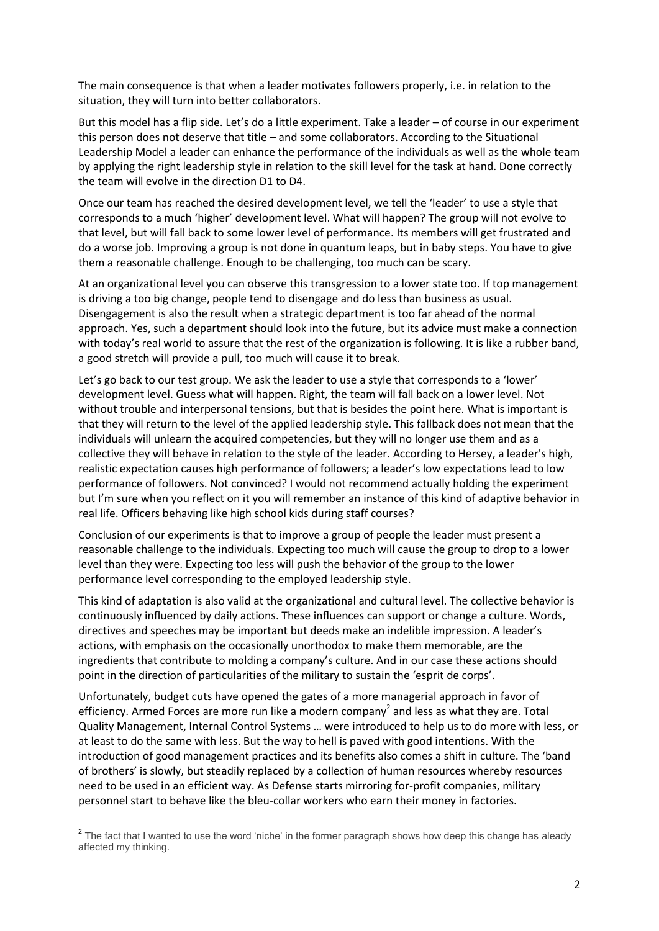The main consequence is that when a leader motivates followers properly, i.e. in relation to the situation, they will turn into better collaborators.

But this model has a flip side. Let's do a little experiment. Take a leader – of course in our experiment this person does not deserve that title – and some collaborators. According to the Situational Leadership Model a leader can enhance the performance of the individuals as well as the whole team by applying the right leadership style in relation to the skill level for the task at hand. Done correctly the team will evolve in the direction D1 to D4.

Once our team has reached the desired development level, we tell the 'leader' to use a style that corresponds to a much 'higher' development level. What will happen? The group will not evolve to that level, but will fall back to some lower level of performance. Its members will get frustrated and do a worse job. Improving a group is not done in quantum leaps, but in baby steps. You have to give them a reasonable challenge. Enough to be challenging, too much can be scary.

At an organizational level you can observe this transgression to a lower state too. If top management is driving a too big change, people tend to disengage and do less than business as usual. Disengagement is also the result when a strategic department is too far ahead of the normal approach. Yes, such a department should look into the future, but its advice must make a connection with today's real world to assure that the rest of the organization is following. It is like a rubber band, a good stretch will provide a pull, too much will cause it to break.

Let's go back to our test group. We ask the leader to use a style that corresponds to a 'lower' development level. Guess what will happen. Right, the team will fall back on a lower level. Not without trouble and interpersonal tensions, but that is besides the point here. What is important is that they will return to the level of the applied leadership style. This fallback does not mean that the individuals will unlearn the acquired competencies, but they will no longer use them and as a collective they will behave in relation to the style of the leader. According to Hersey, a leader's high, realistic expectation causes high performance of followers; a leader's low expectations lead to low performance of followers. Not convinced? I would not recommend actually holding the experiment but I'm sure when you reflect on it you will remember an instance of this kind of adaptive behavior in real life. Officers behaving like high school kids during staff courses?

Conclusion of our experiments is that to improve a group of people the leader must present a reasonable challenge to the individuals. Expecting too much will cause the group to drop to a lower level than they were. Expecting too less will push the behavior of the group to the lower performance level corresponding to the employed leadership style.

This kind of adaptation is also valid at the organizational and cultural level. The collective behavior is continuously influenced by daily actions. These influences can support or change a culture. Words, directives and speeches may be important but deeds make an indelible impression. A leader's actions, with emphasis on the occasionally unorthodox to make them memorable, are the ingredients that contribute to molding a company's culture. And in our case these actions should point in the direction of particularities of the military to sustain the 'esprit de corps'.

Unfortunately, budget cuts have opened the gates of a more managerial approach in favor of efficiency. Armed Forces are more run like a modern company<sup>2</sup> and less as what they are. Total Quality Management, Internal Control Systems … were introduced to help us to do more with less, or at least to do the same with less. But the way to hell is paved with good intentions. With the introduction of good management practices and its benefits also comes a shift in culture. The 'band of brothers' is slowly, but steadily replaced by a collection of human resources whereby resources need to be used in an efficient way. As Defense starts mirroring for-profit companies, military personnel start to behave like the bleu-collar workers who earn their money in factories.

 2 The fact that I wanted to use the word 'niche' in the former paragraph shows how deep this change has aleady affected my thinking.